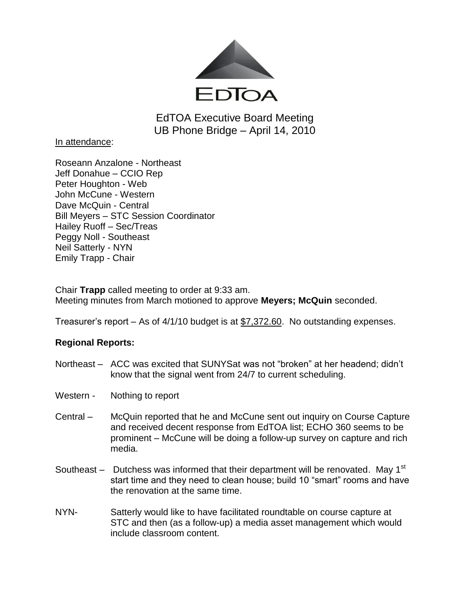

EdTOA Executive Board Meeting UB Phone Bridge – April 14, 2010

In attendance:

Roseann Anzalone - Northeast Jeff Donahue – CCIO Rep Peter Houghton - Web John McCune - Western Dave McQuin - Central Bill Meyers – STC Session Coordinator Hailey Ruoff – Sec/Treas Peggy Noll - Southeast Neil Satterly - NYN Emily Trapp - Chair

Chair **Trapp** called meeting to order at 9:33 am. Meeting minutes from March motioned to approve **Meyers; McQuin** seconded.

Treasurer's report – As of 4/1/10 budget is at \$7,372.60. No outstanding expenses.

# **Regional Reports:**

- Northeast ACC was excited that SUNYSat was not "broken" at her headend; didn't know that the signal went from 24/7 to current scheduling.
- Western Nothing to report
- Central McQuin reported that he and McCune sent out inquiry on Course Capture and received decent response from EdTOA list; ECHO 360 seems to be prominent – McCune will be doing a follow-up survey on capture and rich media.
- Southeast  $-$  Dutchess was informed that their department will be renovated. May 1<sup>st</sup> start time and they need to clean house; build 10 "smart" rooms and have the renovation at the same time.
- NYN- Satterly would like to have facilitated roundtable on course capture at STC and then (as a follow-up) a media asset management which would include classroom content.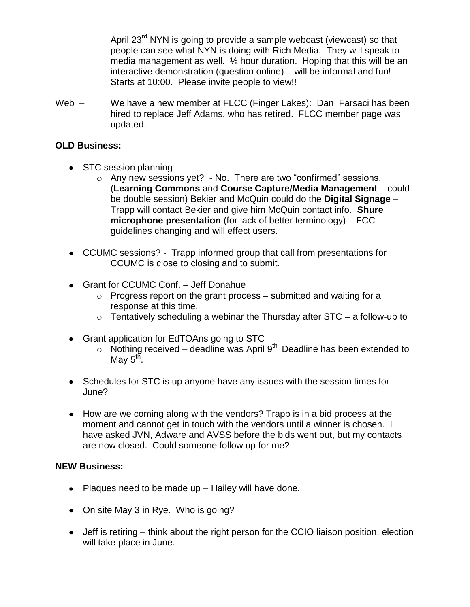April 23<sup>rd</sup> NYN is going to provide a sample webcast (viewcast) so that people can see what NYN is doing with Rich Media. They will speak to media management as well. ½ hour duration. Hoping that this will be an interactive demonstration (question online) – will be informal and fun! Starts at 10:00. Please invite people to view!!

Web – We have a new member at FLCC (Finger Lakes): Dan Farsaci has been hired to replace Jeff Adams, who has retired. FLCC member page was updated.

## **OLD Business:**

- STC session planning
	- o Any new sessions yet? No. There are two "confirmed" sessions. (**Learning Commons** and **Course Capture/Media Management** – could be double session) Bekier and McQuin could do the **Digital Signage** – Trapp will contact Bekier and give him McQuin contact info. **Shure microphone presentation** (for lack of better terminology) – FCC guidelines changing and will effect users.
- CCUMC sessions? Trapp informed group that call from presentations for CCUMC is close to closing and to submit.
- Grant for CCUMC Conf. Jeff Donahue
	- $\circ$  Progress report on the grant process submitted and waiting for a response at this time.
	- $\circ$  Tentatively scheduling a webinar the Thursday after STC a follow-up to
- Grant application for EdTOAns going to STC
	- $\circ$  Nothing received deadline was April 9<sup>th</sup> Deadline has been extended to May 5<sup>th</sup>.
- Schedules for STC is up anyone have any issues with the session times for June?
- How are we coming along with the vendors? Trapp is in a bid process at the moment and cannot get in touch with the vendors until a winner is chosen. I have asked JVN, Adware and AVSS before the bids went out, but my contacts are now closed. Could someone follow up for me?

### **NEW Business:**

- Plaques need to be made up  $-$  Hailey will have done.
- On site May 3 in Rye. Who is going?
- Jeff is retiring think about the right person for the CCIO liaison position, election will take place in June.